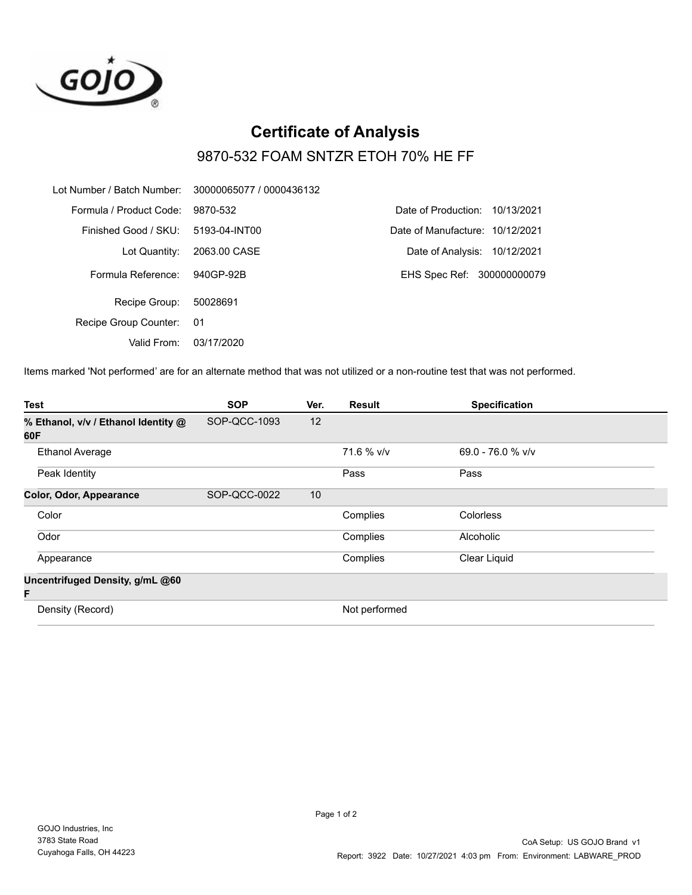

## **Certificate of Analysis** 9870-532 FOAM SNTZR ETOH 70% HE FF

| Lot Number / Batch Number: 30000065077 / 0000436132 |               |                                   |
|-----------------------------------------------------|---------------|-----------------------------------|
| Formula / Product Code:                             | 9870-532      | Date of Production:<br>10/13/2021 |
| Finished Good / SKU:                                | 5193-04-INT00 | Date of Manufacture: 10/12/2021   |
| Lot Quantity:                                       | 2063.00 CASE  | Date of Analysis: 10/12/2021      |
| Formula Reference:                                  | 940GP-92B     | EHS Spec Ref: 300000000079        |
| Recipe Group:                                       | 50028691      |                                   |
| Recipe Group Counter:                               | 01            |                                   |
| Valid From:                                         | 03/17/2020    |                                   |

Items marked 'Not performed' are for an alternate method that was not utilized or a non-routine test that was not performed.

| <b>Test</b>                                | <b>SOP</b>   | Ver. | <b>Result</b> | <b>Specification</b> |  |
|--------------------------------------------|--------------|------|---------------|----------------------|--|
| % Ethanol, v/v / Ethanol Identity @<br>60F | SOP-QCC-1093 | 12   |               |                      |  |
| <b>Ethanol Average</b>                     |              |      | 71.6 % v/v    | $69.0 - 76.0 %$ v/v  |  |
| Peak Identity                              |              |      | Pass          | Pass                 |  |
| Color, Odor, Appearance                    | SOP-QCC-0022 | 10   |               |                      |  |
| Color                                      |              |      | Complies      | Colorless            |  |
| Odor                                       |              |      | Complies      | Alcoholic            |  |
| Appearance                                 |              |      | Complies      | Clear Liquid         |  |
| Uncentrifuged Density, g/mL @60<br>F       |              |      |               |                      |  |
| Density (Record)                           |              |      | Not performed |                      |  |